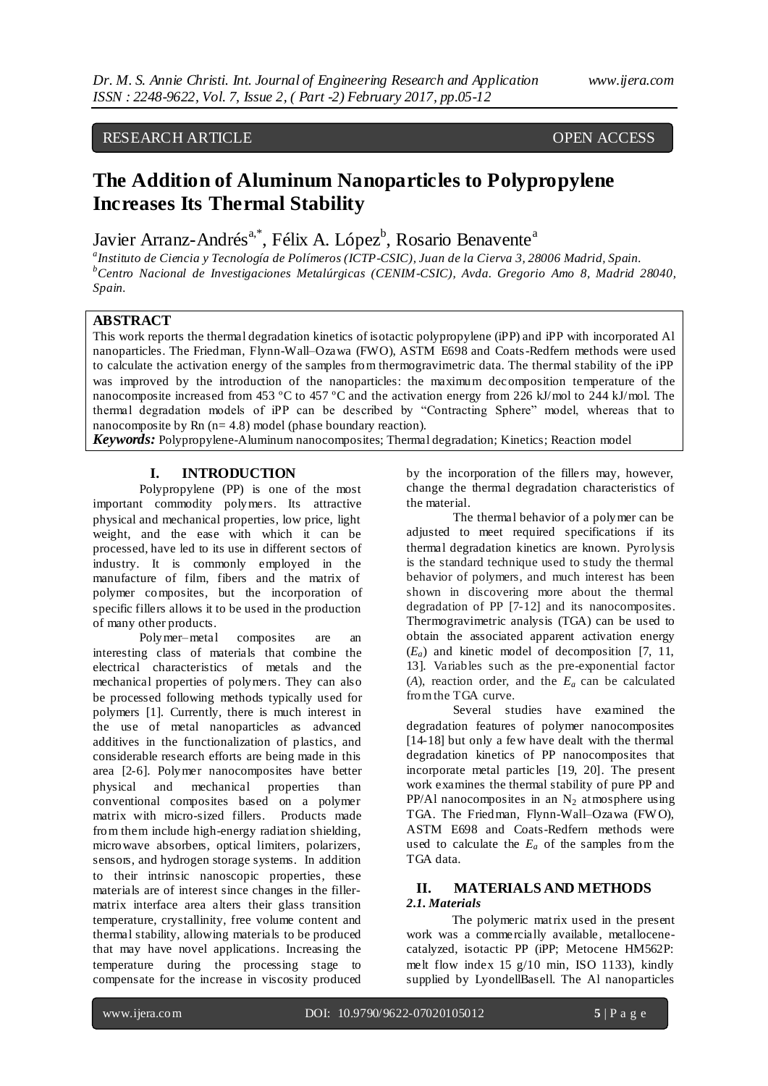# RESEARCH ARTICLE **CONTRACT OPEN ACCESS**

# **The Addition of Aluminum Nanoparticles to Polypropylene Increases Its Thermal Stability**

Javier Arranz-Andrés<sup>a,\*</sup>, Félix A. López<sup>b</sup>, Rosario Benavente<sup>a</sup>

*a Instituto de Ciencia y Tecnología de Polímeros (ICTP-CSIC), Juan de la Cierva 3, 28006 Madrid, Spain. <sup>b</sup>Centro Nacional de Investigaciones Metalúrgicas (CENIM-CSIC), Avda. Gregorio Amo 8, Madrid 28040, Spain.* 

## **ABSTRACT**

This work reports the thermal degradation kinetics of isotactic polypropylene (iPP) and iPP with incorporated Al nanoparticles. The Friedman, Flynn-Wall–Ozawa (FWO), ASTM E698 and Coats-Redfern methods were used to calculate the activation energy of the samples from thermogravimetric data. The thermal stability of the iPP was improved by the introduction of the nanoparticles: the maximum decomposition temperature of the nanocomposite increased from 453 ºC to 457 ºC and the activation energy from 226 kJ/mol to 244 kJ/mol. The thermal degradation models of iPP can be described by "Contracting Sphere" model, whereas that to nanocomposite by Rn (n= 4.8) model (phase boundary reaction).

*Keywords:* Polypropylene-Aluminum nanocomposites; Thermal degradation; Kinetics; Reaction model

#### **I. INTRODUCTION**

Polypropylene (PP) is one of the most important commodity polymers. Its attractive physical and mechanical properties, low price, light weight, and the ease with which it can be processed, have led to its use in different sectors of industry. It is commonly employed in the manufacture of film, fibers and the matrix of polymer composites, but the incorporation of specific fillers allows it to be used in the production of many other products.

Polymer–metal composites are an interesting class of materials that combine the electrical characteristics of metals and the mechanical properties of polymers. They can also be processed following methods typically used for polymers [1]. Currently, there is much interest in the use of metal nanoparticles as advanced additives in the functionalization of plastics, and considerable research efforts are being made in this area [2-6]. Polymer nanocomposites have better physical and mechanical properties than conventional composites based on a polymer matrix with micro-sized fillers. Products made from them include high-energy radiation shielding, microwave absorbers, optical limiters, polarizers, sensors, and hydrogen storage systems. In addition to their intrinsic nanoscopic properties, these materials are of interest since changes in the fillermatrix interface area alters their glass transition temperature, crystallinity, free volume content and thermal stability, allowing materials to be produced that may have novel applications. Increasing the temperature during the processing stage to compensate for the increase in viscosity produced

by the incorporation of the fillers may, however, change the thermal degradation characteristics of the material.

The thermal behavior of a polymer can be adjusted to meet required specifications if its thermal degradation kinetics are known. Pyrolysis is the standard technique used to study the thermal behavior of polymers, and much interest has been shown in discovering more about the thermal degradation of PP [7-12] and its nanocomposites. Thermogravimetric analysis (TGA) can be used to obtain the associated apparent activation energy (*Ea*) and kinetic model of decomposition [7, 11, 13]. Variables such as the pre-exponential factor (A), reaction order, and the  $E_a$  can be calculated from the TGA curve.

Several studies have examined the degradation features of polymer nanocomposites [14-18] but only a few have dealt with the thermal degradation kinetics of PP nanocomposites that incorporate metal particles [19, 20]. The present work examines the thermal stability of pure PP and PP/Al nanocomposites in an  $N_2$  atmosphere using TGA. The Friedman, Flynn-Wall–Ozawa (FW O), ASTM E698 and Coats-Redfern methods were used to calculate the  $E_a$  of the samples from the TGA data.

#### **II. MATERIALS AND METHODS** *2.1. Materials*

The polymeric matrix used in the present work was a comme rcially available, metallocenecatalyzed, isotactic PP (iPP; Metocene HM562P: melt flow index 15 g/10 min, ISO 1133), kindly supplied by LyondellBasell. The Al nanoparticles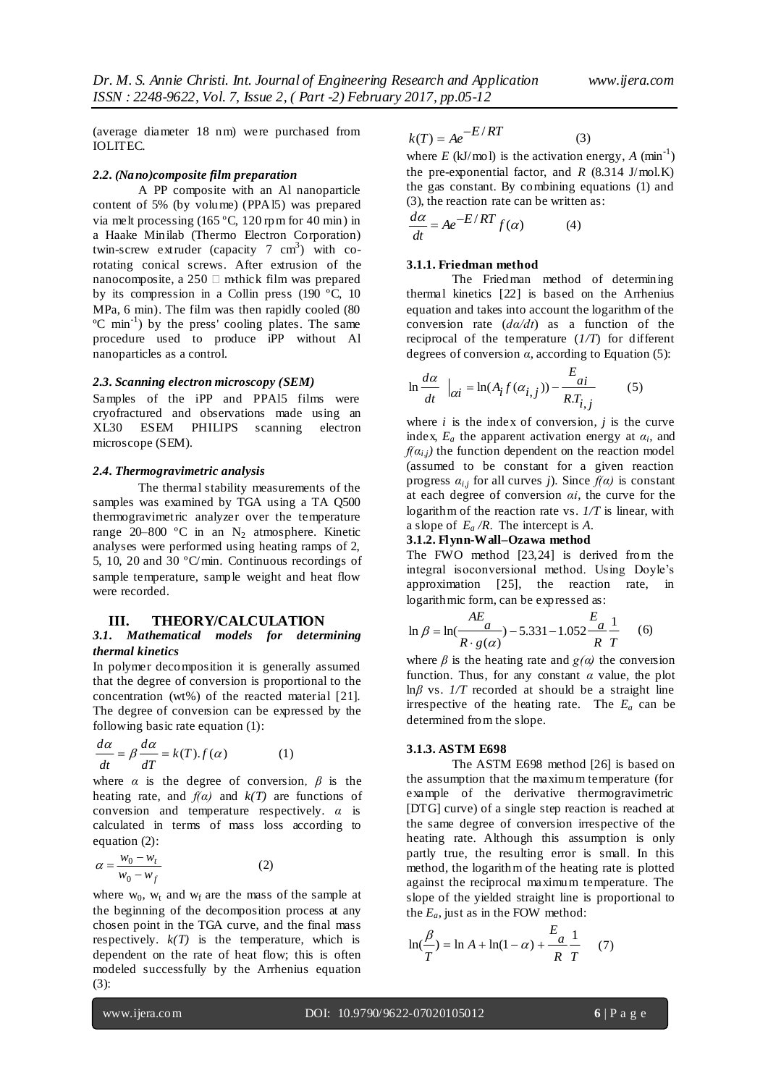(average diameter 18 nm) were purchased from IOLITEC.

#### *2.2. (Nano)composite film preparation*

A PP composite with an Al nanoparticle content of 5% (by volume) (PPAl5) was prepared via melt processing (165 ºC, 120 rpm for 40 min) in a Haake Minilab (Thermo Electron Corporation) twin-screw extruder (capacity 7  $cm<sup>3</sup>$ ) with corotating conical screws. After extrusion of the nanocomposite, a 250  $\Box$  mthick film was prepared by its compression in a Collin press (190 ºC, 10 MPa, 6 min). The film was then rapidly cooled (80 ºC min-1 ) by the press' cooling plates. The same procedure used to produce iPP without Al nanoparticles as a control.

#### *2.3. Scanning electron microscopy (SEM)*

Samples of the iPP and PPAl5 films were cryofractured and observations made using an XL30 ESEM PHILIPS scanning electron microscope (SEM).

#### *2.4. Thermogravimetric analysis*

The thermal stability measurements of the samples was examined by TGA using a TA Q500 thermogravimetric analyzer over the temperature range  $20-800$  °C in an N<sub>2</sub> atmosphere. Kinetic analyses were performed using heating ramps of 2, 5, 10, 20 and 30 ºC/min. Continuous recordings of sample temperature, sample weight and heat flow were recorded.

#### **III. THEORY/CALCULATION**

#### *3.1. Mathematical models for determining thermal kinetics*

In polymer decomposition it is generally assumed that the degree of conversion is proportional to the concentration (wt%) of the reacted material [21]. The degree of conversion can be expressed by the following basic rate equation (1):

$$
\frac{d\alpha}{dt} = \beta \frac{d\alpha}{dT} = k(T).f(\alpha)
$$
 (1)

where  $\alpha$  is the degree of conversion,  $\beta$  is the heating rate, and  $f(\alpha)$  and  $k(T)$  are functions of conversion and temperature respectively. *α* is calculated in terms of mass loss according to equation (2):

(1)

$$
\alpha = \frac{w_0 - w_t}{w_0 - w_f} \tag{2}
$$

where  $w_0$ ,  $w_t$  and  $w_f$  are the mass of the sample at the beginning of the decomposition process at any chosen point in the TGA curve, and the final mass respectively.  $k(T)$  is the temperature, which is dependent on the rate of heat flow; this is often modeled successfully by the Arrhenius equation (3):

$$
k(T) = Ae^{-E/RT}
$$
 (3)

where  $E$  (kJ/mol) is the activation energy,  $A$  (min<sup>-1</sup>) the pre-exponential factor, and  $R$  (8.314 J/mol.K) the gas constant. By combining equations (1) and (3), the reaction rate can be written as:

$$
\frac{d\alpha}{dt} = Ae^{-E/RT} f(\alpha) \tag{4}
$$

#### **3.1.1. Friedman method**

The Friedman method of determining thermal kinetics [22] is based on the Arrhenius equation and takes into account the logarithm of the conversion rate (*dα/dt*) as a function of the reciprocal of the temperature (*1/T*) for different degrees of conversion *α*, according to Equation (5):

$$
\ln \frac{d\alpha}{dt} \big|_{\alpha i} = \ln(A_i f(\alpha_{i,j})) - \frac{E_{ai}}{R.T_{i,j}} \tag{5}
$$

where  $i$  is the index of conversion,  $j$  is the curve index,  $E_a$  the apparent activation energy at  $\alpha_i$ , and  $f(\alpha_{i,j})$  the function dependent on the reaction model (assumed to be constant for a given reaction progress  $a_{i,j}$  for all curves *j*). Since  $f(\alpha)$  is constant at each degree of conversion *αi*, the curve for the logarithm of the reaction rate vs. *1/T* is linear, with a slope of *E<sup>a</sup> /R*. The intercept is *A*.

#### **3.1.2. Flynn-Wall–Ozawa method**

The FWO method [23,24] is derived from the integral isoconversional method. Using Doyle's approximation [25], the reaction rate, in logarithmic form, can be expressed as:

$$
\ln \beta = \ln(\frac{AE_a}{R \cdot g(a)}) - 5.331 - 1.052 \frac{E_a}{R} \frac{1}{T}
$$
 (6)

where  $\beta$  is the heating rate and  $g(\alpha)$  the conversion function. Thus, for any constant  $\alpha$  value, the plot  $ln \beta$  vs.  $1/T$  recorded at should be a straight line irrespective of the heating rate. The  $E_a$  can be determined from the slope.

#### **3.1.3. ASTM E698**

The ASTM E698 method [26] is based on the assumption that the maximum temperature (for example of the derivative thermogravimetric [DTG] curve) of a single step reaction is reached at the same degree of conversion irrespective of the heating rate. Although this assumption is only partly true, the resulting error is small. In this method, the logarithm of the heating rate is plotted against the reciprocal maximum temperature. The slope of the yielded straight line is proportional to the  $E_a$ , just as in the FOW method:

$$
\ln(\frac{\beta}{T}) = \ln A + \ln(1 - \alpha) + \frac{E_a}{R} \frac{1}{T}
$$
 (7)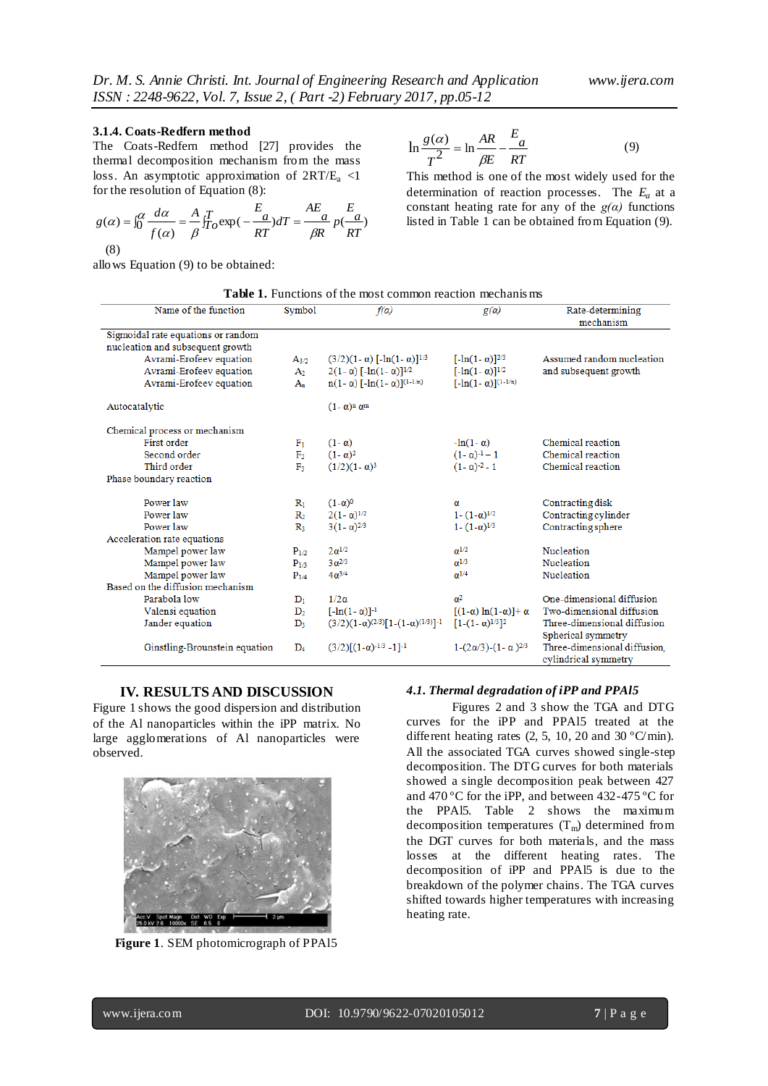#### **3.1.4. Coats-Redfern method**

The Coats-Redfern method [27] provides the thermal decomposition mechanism from the mass loss. An asymptotic approximation of  $2RT/E_a < 1$ for the resolution of Equation (8):

$$
g(\alpha) = \int_0^{\alpha} \frac{d\alpha}{f(\alpha)} = \frac{A}{\beta} \int_{T_0}^{T} \exp(-\frac{E_a}{RT}) dT = \frac{AE_a}{\beta R} p(\frac{E_a}{RT})
$$

$$
(8)
$$

allows Equation (9) to be obtained:

$$
\ln \frac{g(\alpha)}{T^2} = \ln \frac{AR}{\beta E} - \frac{E_a}{RT}
$$
(9)

This method is one of the most widely used for the determination of reaction processes. The *Ea* at a constant heating rate for any of the  $g(a)$  functions listed in Table 1 can be obtained from Equation (9).

|  |  |  | <b>Table 1.</b> Functions of the most common reaction mechanisms |  |
|--|--|--|------------------------------------------------------------------|--|
|--|--|--|------------------------------------------------------------------|--|

| Name of the function               | Symbol         | $f(\alpha)$                                            | g(a)                               | Rate-determining<br>mechanism                        |  |  |
|------------------------------------|----------------|--------------------------------------------------------|------------------------------------|------------------------------------------------------|--|--|
| Sigmoidal rate equations or random |                |                                                        |                                    |                                                      |  |  |
| nucleation and subsequent growth   |                |                                                        |                                    |                                                      |  |  |
| Avrami-Erofeev equation            | $A_{3/2}$      | $(3/2)(1 - \alpha)$ [-1n(1- $\alpha$ )] <sup>1/3</sup> | $[-\ln(1-\alpha)]^{2/3}$           | Assumed random nucleation                            |  |  |
| Avrami-Erofeev equation            | A <sub>2</sub> | $2(1 - \alpha)$ [-ln(1- $\alpha$ )] <sup>1/2</sup>     | $[-\ln(1-\alpha)]^{1/2}$           | and subsequent growth                                |  |  |
| Avrami-Erofeev equation            | $A_n$          | $n(1-\alpha)$ $[-ln(1-\alpha)]^{(1-1/n)}$              | $[-\ln(1-\alpha)]^{(1-1/n)}$       |                                                      |  |  |
| Autocatalytic                      |                | $(1 - \alpha)^n \alpha^m$                              |                                    |                                                      |  |  |
| Chemical process or mechanism      |                |                                                        |                                    |                                                      |  |  |
| First order                        | $F_1$          | $(1 - \alpha)$                                         | $-\ln(1-\alpha)$                   | Chemical reaction                                    |  |  |
| Second order                       | F <sub>2</sub> | $(1 - \alpha)^2$                                       | $(1 - \alpha)^{-1} - 1$            | Chemical reaction                                    |  |  |
| Third order                        | $\mathbf{F}_3$ | $(1/2)(1-\alpha)^3$                                    | $(1 - \alpha)^{-2} - 1$            | Chemical reaction                                    |  |  |
| Phase boundary reaction            |                |                                                        |                                    |                                                      |  |  |
| Power law                          | $R_1$          | $(1-\alpha)^0$                                         | α                                  | Contracting disk                                     |  |  |
| Power law                          | R <sub>2</sub> | $2(1 - \alpha)^{1/2}$                                  | $1 - (1 - \alpha)^{1/2}$           | Contracting cylinder                                 |  |  |
| Power law                          | $\mathbb{R}_3$ | $3(1 - \alpha)^{2/3}$                                  | $1 - (1 - \alpha)^{1/3}$           | Contracting sphere                                   |  |  |
| Acceleration rate equations        |                |                                                        |                                    |                                                      |  |  |
| Mampel power law                   | $P_{1/2}$      | $2\alpha^{1/2}$                                        | $\alpha^{1/2}$                     | Nucleation                                           |  |  |
| Mampel power law                   | $P_{1/3}$      | $3 \frac{a^{2}}{3}$                                    | $\alpha^{1/3}$                     | Nucleation                                           |  |  |
| Mampel power law                   | $P_{1/4}$      | $4\alpha^{3/4}$                                        | $\alpha^{1/4}$                     | Nucleation                                           |  |  |
| Based on the diffusion mechanism   |                |                                                        |                                    |                                                      |  |  |
| Parabola low                       | $D_1$          | $1/2\alpha$                                            | $\alpha^2$                         | One-dimensional diffusion                            |  |  |
| Valensi equation                   | $D_2$          | $[-\ln(1-\alpha)]^{-1}$                                | $[(1-\alpha)\ln(1-\alpha)]+\alpha$ | Two-dimensional diffusion                            |  |  |
| Jander equation                    | $D_3$          | $(3/2)(1-\alpha)^{(2/3)}[1-(1-\alpha)^{(1/3)}]^{-1}$   | $[1-(1-\alpha)^{1/3}]^2$           | Three-dimensional diffusion                          |  |  |
|                                    |                |                                                        |                                    | Spherical symmetry                                   |  |  |
| Ginstling-Brounstein equation      | $\mathbf{D}_4$ | $(3/2)\lceil(1-\alpha)^{-1/3}-1\rceil^{-1}$            | $1-(2\alpha/3)-(1-\alpha)^{2/3}$   | Three-dimensional diffusion,<br>cylindrical symmetry |  |  |

#### **IV. RESULTS AND DISCUSSION**

Figure 1 shows the good dispersion and distribution of the Al nanoparticles within the iPP matrix. No large agglomerations of Al nanoparticles were observed.



**Figure 1**. SEM photomicrograph of PPAl5

#### *4.1. Thermal degradation of iPP and PPAl5*

Figures 2 and 3 show the TGA and DTG curves for the iPP and PPAl5 treated at the different heating rates  $(2, 5, 10, 20, \text{ and } 30 \degree \text{C/min}).$ All the associated TGA curves showed single-step decomposition. The DTG curves for both materials showed a single decomposition peak between 427 and 470 ºC for the iPP, and between 432-475 ºC for the PPAl5. Table 2 shows the maximum decomposition temperatures  $(T_m)$  determined from the DGT curves for both materials, and the mass losses at the different heating rates. The decomposition of iPP and PPAl5 is due to the breakdown of the polymer chains. The TGA curves shifted towards higher temperatures with increasing heating rate.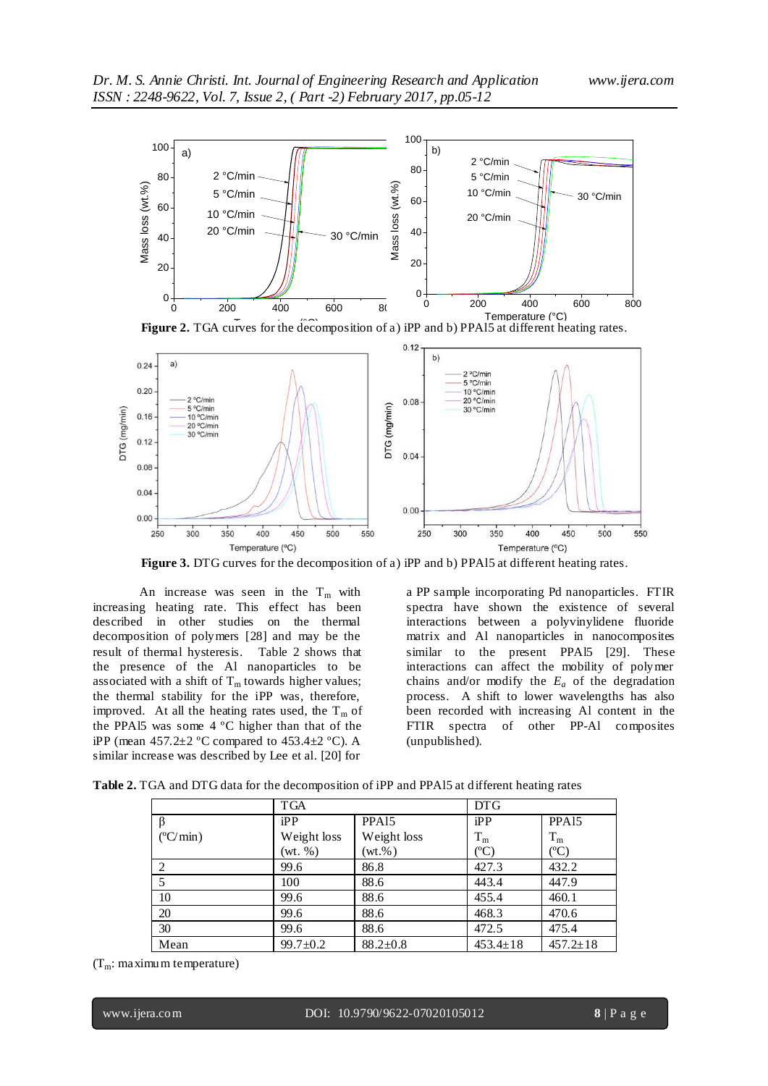

Figure 2. TGA curves for the decomposition of a) iPP and b) PPAI5 at different heating rates.



**Figure 3.** DTG curves for the decomposition of a) iPP and b) PPA15 at different heating rates.

An increase was seen in the  $T_m$  with increasing heating rate. This effect has been described in other studies on the thermal decomposition of polymers [28] and may be the result of thermal hysteresis. Table 2 shows that the presence of the Al nanoparticles to be associated with a shift of  $T_m$  towards higher values; the thermal stability for the iPP was, therefore, improved. At all the heating rates used, the  $T_m$  of the PPAl5 was some 4 ºC higher than that of the iPP (mean  $457.2 \pm 2$  °C compared to  $453.4 \pm 2$  °C). A similar increase was described by Lee et al. [20] for

a PP sample incorporating Pd nanoparticles. FTIR spectra have shown the existence of several interactions between a polyvinylidene fluoride matrix and Al nanoparticles in nanocomposites similar to the present PPAl5 [29]. These interactions can affect the mobility of polymer chains and/or modify the  $E_a$  of the degradation process. A shift to lower wavelengths has also been recorded with increasing Al content in the FTIR spectra of other PP-Al composites (unpublished).

**Table 2.** TGA and DTG data for the decomposition of iPP and PPAl5 at different heating rates

|                          | <b>TGA</b>     |                   | <b>DTG</b>     |                   |  |  |  |
|--------------------------|----------------|-------------------|----------------|-------------------|--|--|--|
|                          | iPP            | PPA <sub>15</sub> | iPP            | PPA <sub>15</sub> |  |  |  |
| $(^{\circ}C/\text{min})$ | Weight loss    | Weight loss       | $T_{\rm m}$    | $T_m$             |  |  |  |
|                          | (wt. %)        | $(wt.\%)$         | $({}^oC)$      | $({}^oC)$         |  |  |  |
| 2                        | 99.6           | 86.8              | 427.3          | 432.2             |  |  |  |
|                          | 100            | 88.6              | 443.4          | 447.9             |  |  |  |
| 10                       | 99.6           | 88.6              | 455.4          | 460.1             |  |  |  |
| 20                       | 99.6           | 88.6              | 468.3          | 470.6             |  |  |  |
| 30                       | 99.6           | 88.6              | 472.5          | 475.4             |  |  |  |
| Mean                     | $99.7 \pm 0.2$ | $88.2 \pm 0.8$    | $453.4 \pm 18$ | $457.2 \pm 18$    |  |  |  |

 $(T_m: \text{maximum}$  temperature)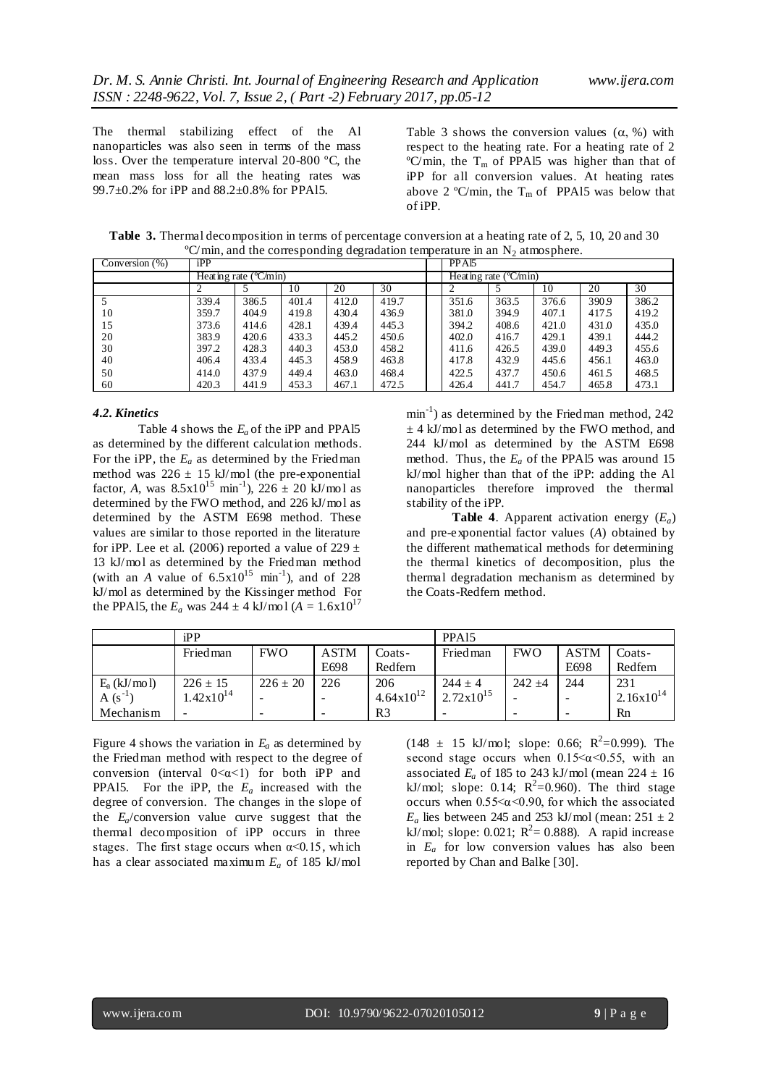The thermal stabilizing effect of the Al nanoparticles was also seen in terms of the mass loss. Over the temperature interval 20-800 ºC, the mean mass loss for all the heating rates was 99.7±0.2% for iPP and 88.2±0.8% for PPAl5.

Table 3 shows the conversion values  $(\alpha, \%)$  with respect to the heating rate. For a heating rate of 2  $\rm{°C/min}$ , the T<sub>m</sub> of PPA15 was higher than that of iPP for all conversion values. At heating rates above 2 °C/min, the  $T_m$  of PPA15 was below that of iPP.

| $\overline{\phantom{a}}$<br>$\tilde{}$<br>$\tilde{\phantom{a}}$<br>$\ddot{\phantom{1}}$<br>$\overline{\phantom{a}}$ |                        |       |       |       |       |                                |       |       |       |       |       |
|---------------------------------------------------------------------------------------------------------------------|------------------------|-------|-------|-------|-------|--------------------------------|-------|-------|-------|-------|-------|
| Conversion $(\%)$                                                                                                   | iPP                    |       |       |       |       | PPA <sub>15</sub>              |       |       |       |       |       |
|                                                                                                                     | Heating rate $(C/min)$ |       |       |       |       | Heating rate $(^{\circ}C/min)$ |       |       |       |       |       |
|                                                                                                                     |                        |       | 10    | 20    | 30    |                                | ↑     |       | 10    | 20    | 30    |
|                                                                                                                     | 339.4                  | 386.5 | 401.4 | 412.0 | 419.7 |                                | 351.6 | 363.5 | 376.6 | 390.9 | 386.2 |
| 10                                                                                                                  | 359.7                  | 404.9 | 419.8 | 430.4 | 436.9 |                                | 381.0 | 394.9 | 407.1 | 417.5 | 419.2 |
| 15                                                                                                                  | 373.6                  | 414.6 | 428.1 | 439.4 | 445.3 |                                | 394.2 | 408.6 | 421.0 | 431.0 | 435.0 |
| 20                                                                                                                  | 383.9                  | 420.6 | 433.3 | 445.2 | 450.6 |                                | 402.0 | 416.7 | 429.1 | 439.1 | 444.2 |
| 30                                                                                                                  | 397.2                  | 428.3 | 440.3 | 453.0 | 458.2 |                                | 411.6 | 426.5 | 439.0 | 449.3 | 455.6 |
| 40                                                                                                                  | 406.4                  | 433.4 | 445.3 | 458.9 | 463.8 |                                | 417.8 | 432.9 | 445.6 | 456.1 | 463.0 |
| 50                                                                                                                  | 414.0                  | 437.9 | 449.4 | 463.0 | 468.4 |                                | 422.5 | 437.7 | 450.6 | 461.5 | 468.5 |
| 60                                                                                                                  | 420.3                  | 441.9 | 453.3 | 467.1 | 472.5 |                                | 426.4 | 441.7 | 454.7 | 465.8 | 473.1 |

**Table 3.** Thermal decomposition in terms of percentage conversion at a heating rate of 2, 5, 10, 20 and 30  $\rm{°C/min}$ , and the corresponding degradation temperature in an N<sub>2</sub> atmosphere.

#### *4.2. Kinetics*

Table 4 shows the *Ea* of the iPP and PPAl5 as determined by the different calculation methods. For the iPP, the  $E_a$  as determined by the Friedman method was  $226 \pm 15$  kJ/mol (the pre-exponential factor, *A*, was  $8.5 \times 10^{15}$  min<sup>-1</sup>),  $226 \pm 20$  kJ/mol as determined by the FWO method, and 226 kJ/mol as determined by the ASTM E698 method. These values are similar to those reported in the literature for iPP. Lee et al. (2006) reported a value of 229  $\pm$ 13 kJ/mol as determined by the Friedman method (with an *A* value of  $6.5 \times 10^{15}$  min<sup>-1</sup>), and of 228 kJ/mol as determined by the Kissinger method For the PPA15, the  $E_a$  was 244  $\pm$  4 kJ/mol ( $A = 1.6 \times 10^{17}$ 

min<sup>-1</sup>) as determined by the Friedman method, 242  $\pm$  4 kJ/mol as determined by the FWO method, and 244 kJ/mol as determined by the ASTM E698 method. Thus, the *E<sup>a</sup>* of the PPAl5 was around 15 kJ/mol higher than that of the iPP: adding the Al nanoparticles therefore improved the thermal stability of the iPP.

**Table 4**. Apparent activation energy (*Ea*) and pre-exponential factor values (*A*) obtained by the different mathematical methods for determining the thermal kinetics of decomposition, plus the thermal degradation mechanism as determined by the Coats-Redfern method.

|                | iPP            |              |             |                       | PPA <sub>15</sub>     |            |             |                |
|----------------|----------------|--------------|-------------|-----------------------|-----------------------|------------|-------------|----------------|
|                | Fried man      | <b>FWO</b>   | <b>ASTM</b> | Coats-                | Fried man             | <b>FWO</b> | <b>ASTM</b> | Coats-         |
|                |                |              | E698        | Redfern               |                       |            | E698        | Redfern        |
| $E_a$ (kJ/mol) | $226 \pm 15$   | $226 \pm 20$ | 226         | 206                   | $244 \pm 4$           | $242 + 4$  | 244         | 231            |
| A $(s^{-1})$   | $1.42x10^{14}$ |              |             | $4.64 \times 10^{12}$ | $2.72 \times 10^{15}$ |            |             | $2.16x10^{14}$ |
| Mechanism      |                | -            |             | R <sub>3</sub>        |                       |            |             | Rn             |

Figure 4 shows the variation in  $E_a$  as determined by the Friedman method with respect to the degree of conversion (interval  $0 < \alpha < 1$ ) for both iPP and PPAl5. For the iPP, the *E<sup>a</sup>* increased with the degree of conversion. The changes in the slope of the *Ea*/conversion value curve suggest that the thermal decomposition of iPP occurs in three stages. The first stage occurs when  $\alpha$ <0.15, which has a clear associated maximum *E<sup>a</sup>* of 185 kJ/mol

 $(148 \pm 15 \text{ kJ/mol}; \text{ slope: } 0.66; \text{ R}^2 = 0.999)$ . The second stage occurs when  $0.15 < \alpha < 0.55$ , with an associated  $E_a$  of 185 to 243 kJ/mol (mean 224  $\pm$  16 kJ/mol; slope: 0.14;  $R^2 = 0.960$ ). The third stage occurs when  $0.55<\alpha<0.90$ , for which the associated  $E_a$  lies between 245 and 253 kJ/mol (mean: 251  $\pm$  2 kJ/mol; slope: 0.021;  $R^2 = 0.888$ ). A rapid increase in *E<sup>a</sup>* for low conversion values has also been reported by Chan and Balke [30].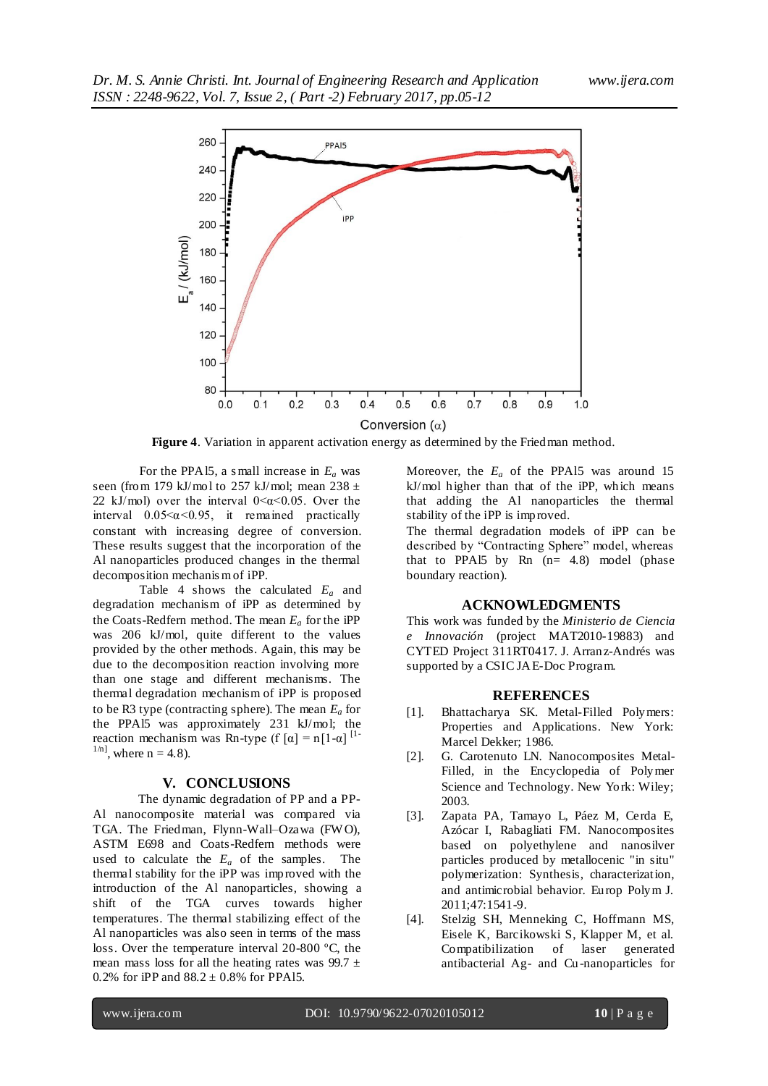

**Figure 4**. Variation in apparent activation energy as determined by the Friedman method.

For the PPAl5, a s mall increase in *E<sup>a</sup>* was seen (from 179 kJ/mol to 257 kJ/mol; mean  $238 \pm$ 22 kJ/mol) over the interval  $0 < \alpha < 0.05$ . Over the interval  $0.05 \le \alpha \le 0.95$ , it remained practically constant with increasing degree of conversion. These results suggest that the incorporation of the Al nanoparticles produced changes in the thermal decomposition mechanis m of iPP.

Table 4 shows the calculated *E<sup>a</sup>* and degradation mechanism of iPP as determined by the Coats-Redfern method. The mean  $E_a$  for the iPP was 206 kJ/mol, quite different to the values provided by the other methods. Again, this may be due to the decomposition reaction involving more than one stage and different mechanisms. The thermal degradation mechanism of iPP is proposed to be R3 type (contracting sphere). The mean *E<sup>a</sup>* for the PPAl5 was approximately 231 kJ/mol; the reaction mechanism was Rn-type (f  $[\alpha] = n[1-\alpha]$ <sup>[1-</sup>  $1/n$ , where  $n = 4.8$ ).

#### **V. CONCLUSIONS**

The dynamic degradation of PP and a PP-Al nanocomposite material was compared via TGA. The Friedman, Flynn-Wall–Ozawa (FW O), ASTM E698 and Coats-Redfern methods were used to calculate the  $E_a$  of the samples. The thermal stability for the iPP was improved with the introduction of the Al nanoparticles, showing a shift of the TGA curves towards higher temperatures. The thermal stabilizing effect of the Al nanoparticles was also seen in terms of the mass loss. Over the temperature interval 20-800 ºC, the mean mass loss for all the heating rates was 99.7  $\pm$ 0.2% for iPP and  $88.2 \pm 0.8$ % for PPA15.

Moreover, the *E<sup>a</sup>* of the PPAl5 was around 15 kJ/mol higher than that of the iPP, which means that adding the Al nanoparticles the thermal stability of the iPP is improved.

The thermal degradation models of iPP can be described by "Contracting Sphere" model, whereas that to PPA15 by Rn  $(n= 4.8)$  model (phase boundary reaction).

#### **ACKNOWLEDGMENTS**

This work was funded by the *Ministerio de Ciencia e Innovación* (project MAT2010-19883) and CYTED Project 311RT0417. J. Arranz-Andrés was supported by a CSIC JAE-Doc Program.

### **REFERENCES**

- [1]. Bhattacharya SK. Metal-Filled Polymers: Properties and Applications. New York: Marcel Dekker; 1986.
- [2]. G. Carotenuto LN. Nanocomposites Metal-Filled, in the Encyclopedia of Polymer Science and Technology. New York: Wiley; 2003.
- [3]. Zapata PA, Tamayo L, Páez M, Cerda E, Azócar I, Rabagliati FM. Nanocomposites based on polyethylene and nanosilver particles produced by metallocenic "in situ" polymerization: Synthesis, characterization, and antimicrobial behavior. Europ Polym J. 2011;47:1541-9.
- [4]. Stelzig SH, Menneking C, Hoffmann MS, Eisele K, Barcikowski S, Klapper M, et al. Compatibilization of laser generated antibacterial Ag- and Cu-nanoparticles for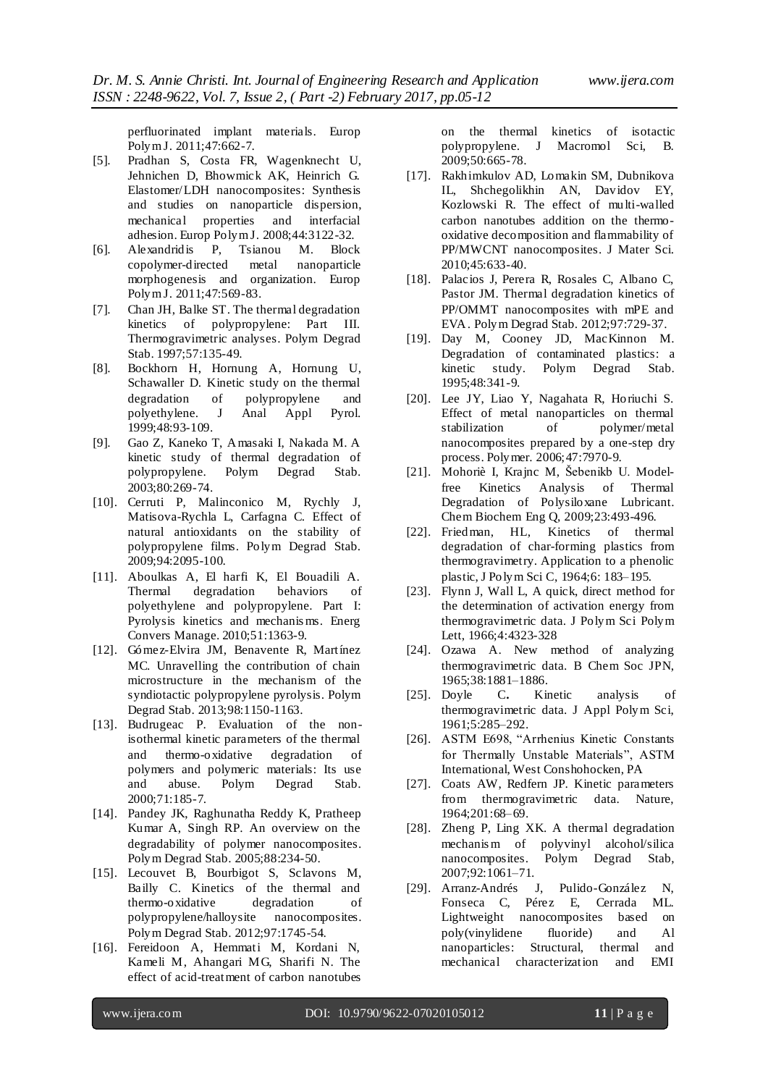perfluorinated implant materials. Europ Polym J. 2011;47:662-7.

- [5]. Pradhan S, Costa FR, Wagenknecht U, Jehnichen D, Bhowmick AK, Heinrich G. Elastomer/LDH nanocomposites: Synthesis and studies on nanoparticle dispersion, mechanical properties and interfacial adhesion. Europ Polym J. 2008;44:3122-32.
- [6]. Alexandridis P, Tsianou M. Block copolymer-directed metal nanoparticle morphogenesis and organization. Europ Polym J. 2011;47:569-83.
- [7]. Chan JH, Balke ST. The thermal degradation kinetics of polypropylene: Part III. Thermogravimetric analyses. Polym Degrad Stab. 1997;57:135-49.
- [8]. Bockhorn H, Hornung A, Hornung U, Schawaller D. Kinetic study on the thermal degradation of polypropylene and polyethylene. J Anal Appl Pyrol. 1999;48:93-109.
- [9]. Gao Z, Kaneko T, Amasaki I, Nakada M. A kinetic study of thermal degradation of<br>polypropylene. Polym Degrad Stab. Polym Degrad Stab. 2003;80:269-74.
- [10]. Cerruti P, Malinconico M, Rychly J, Matisova-Rychla L, Carfagna C. Effect of natural antioxidants on the stability of polypropylene films. Polym Degrad Stab. 2009;94:2095-100.
- [11]. Aboulkas A, El harfi K, El Bouadili A. Thermal degradation behaviors of polyethylene and polypropylene. Part I: Pyrolysis kinetics and mechanis ms. Energ Convers Manage. 2010;51:1363-9.
- [12]. Gómez-Elvira JM, Benavente R, Martínez MC. Unravelling the contribution of chain microstructure in the mechanism of the syndiotactic polypropylene pyrolysis. Polym Degrad Stab. 2013;98:1150-1163.
- [13]. Budrugeac P. Evaluation of the nonisothermal kinetic parameters of the thermal and thermo-oxidative degradation of polymers and polymeric materials: Its use and abuse. Polym Degrad Stab. 2000;71:185-7.
- [14]. Pandey JK, Raghunatha Reddy K, Pratheep Kumar A, Singh RP. An overview on the degradability of polymer nanocomposites. Polym Degrad Stab. 2005;88:234-50.
- [15]. Lecouvet B, Bourbigot S, Sclavons M, Bailly C. Kinetics of the thermal and thermo-oxidative degradation of polypropylene/halloysite nanocomposites. Polym Degrad Stab. 2012;97:1745-54.
- [16]. Fereidoon A, Hemmati M, Kordani N, Kameli M, Ahangari MG, Sharifi N. The effect of acid-treatment of carbon nanotubes

on the thermal kinetics of isotactic polypropylene. J Macromol Sci, B. 2009;50:665-78.

- [17]. Rakhimkulov AD, Lomakin SM, Dubnikova IL, Shchegolikhin AN, Davidov EY, Kozlowski R. The effect of multi-walled carbon nanotubes addition on the thermooxidative decomposition and flammability of PP/MWCNT nanocomposites. J Mater Sci. 2010;45:633-40.
- [18]. Palacios J, Perera R, Rosales C, Albano C, Pastor JM. Thermal degradation kinetics of PP/OMMT nanocomposites with mPE and EVA. Polym Degrad Stab. 2012;97:729-37.
- [19]. Day M, Cooney JD, MacKinnon M. Degradation of contaminated plastics: a kinetic study. Polym Degrad Stab. 1995;48:341-9.
- [20]. Lee JY, Liao Y, Nagahata R, Horiuchi S. Effect of metal nanoparticles on thermal stabilization of polymer/metal nanocomposites prepared by a one-step dry process. Polymer. 2006;47:7970-9.
- [21]. Mohoriè I, Krajnc M, Šebenikb U. Modelfree Kinetics Analysis of Thermal Degradation of Polysiloxane Lubricant. Chem Biochem Eng Q, 2009;23:493-496.
- [22]. Friedman, HL, Kinetics of thermal degradation of char-forming plastics from thermogravimetry. Application to a phenolic plastic, J Polym Sci C, 1964;6: 183–195.
- [23]. Flynn J, Wall L, A quick, direct method for the determination of activation energy from thermogravimetric data. J Polym Sci Polym Lett, 1966;4:4323-328
- [24]. Ozawa A. New method of analyzing thermogravimetric data. B Chem Soc JPN, 1965;38:1881–1886.
- [25]. Doyle C**.** Kinetic analysis of thermogravimetric data. J Appl Polym Sci, 1961;5:285–292.
- [26]. ASTM E698, "Arrhenius Kinetic Constants for Thermally Unstable Materials", ASTM International, West Conshohocken, PA
- [27]. Coats AW, Redfern JP. Kinetic parameters from thermogravimetric data. Nature, 1964;201:68–69.
- [28]. Zheng P, Ling XK. A thermal degradation mechanis m of polyvinyl alcohol/silica nanocomposites. Polym Degrad Stab, 2007;92:1061–71.
- [29]. Arranz-Andrés J, Pulido-González N, Fonseca C, Pérez E, Cerrada ML. Lightweight nanocomposites based on poly(vinylidene fluoride) and Al nanoparticles: Structural, thermal and mechanical characterization and EMI